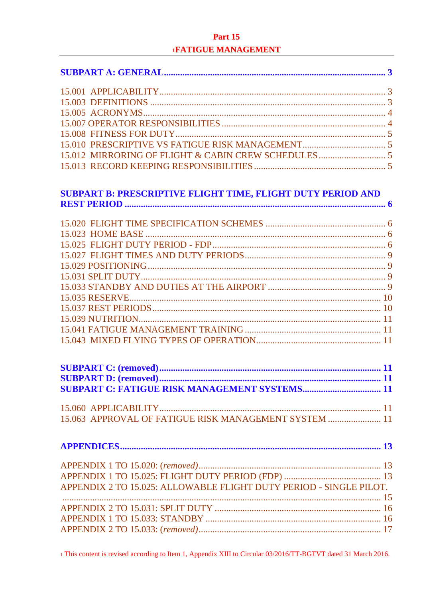# Part 15 **IFATIGUE MANAGEMENT**

| 15.012 MIRRORING OF FLIGHT & CABIN CREW SCHEDULES  5               |  |
|--------------------------------------------------------------------|--|
|                                                                    |  |
| SUBPART B: PRESCRIPTIVE FLIGHT TIME, FLIGHT DUTY PERIOD AND        |  |
|                                                                    |  |
|                                                                    |  |
|                                                                    |  |
|                                                                    |  |
|                                                                    |  |
|                                                                    |  |
|                                                                    |  |
|                                                                    |  |
|                                                                    |  |
|                                                                    |  |
|                                                                    |  |
|                                                                    |  |
|                                                                    |  |
|                                                                    |  |
|                                                                    |  |
|                                                                    |  |
|                                                                    |  |
|                                                                    |  |
| 15.063 APPROVAL OF FATIGUE RISK MANAGEMENT SYSTEM  11              |  |
|                                                                    |  |
|                                                                    |  |
|                                                                    |  |
| APPENDIX 2 TO 15.025: ALLOWABLE FLIGHT DUTY PERIOD - SINGLE PILOT. |  |
|                                                                    |  |
|                                                                    |  |
|                                                                    |  |
|                                                                    |  |

1 This content is revised according to Item 1, Appendix XIII to Circular 03/2016/TT-BGTVT dated 31 March 2016.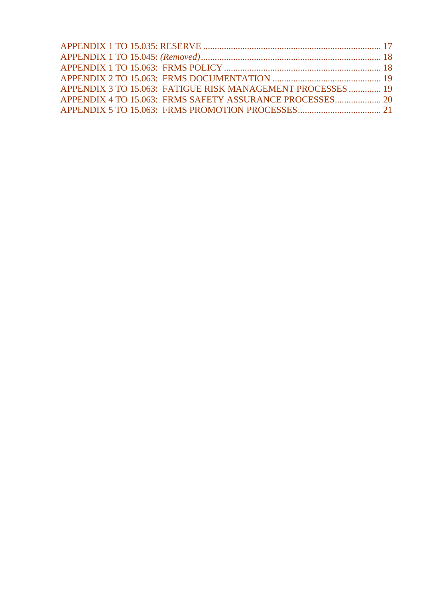| APPENDIX 3 TO 15.063: FATIGUE RISK MANAGEMENT PROCESSES  19 |  |
|-------------------------------------------------------------|--|
| APPENDIX 4 TO 15.063: FRMS SAFETY ASSURANCE PROCESSES 20    |  |
|                                                             |  |
|                                                             |  |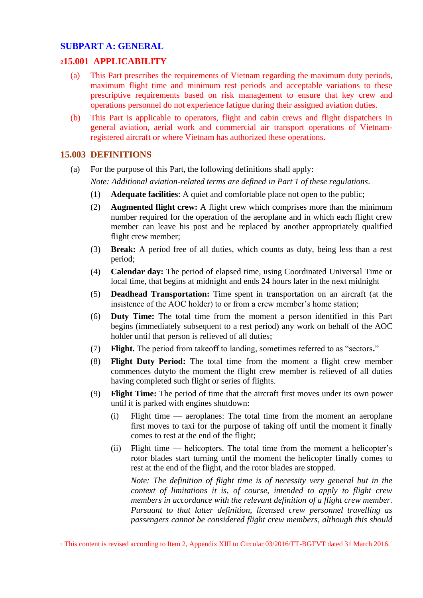## <span id="page-2-0"></span>**SUBPART A: GENERAL**

### <span id="page-2-1"></span>**<sup>2</sup>15.001 APPLICABILITY**

- (a) This Part prescribes the requirements of Vietnam regarding the maximum duty periods, maximum flight time and minimum rest periods and acceptable variations to these prescriptive requirements based on risk management to ensure that key crew and operations personnel do not experience fatigue during their assigned aviation duties.
- (b) This Part is applicable to operators, flight and cabin crews and flight dispatchers in general aviation, aerial work and commercial air transport operations of Vietnamregistered aircraft or where Vietnam has authorized these operations.

## <span id="page-2-2"></span>**15.003 DEFINITIONS**

(a) For the purpose of this Part, the following definitions shall apply:

*Note: Additional aviation-related terms are defined in Part 1 of these regulations.*

- (1) **Adequate facilities**: A quiet and comfortable place not open to the public;
- (2) **Augmented flight crew:** A flight crew which comprises more than the minimum number required for the operation of the aeroplane and in which each flight crew member can leave his post and be replaced by another appropriately qualified flight crew member;
- (3) **Break:** A period free of all duties, which counts as duty, being less than a rest period;
- (4) **Calendar day:** The period of elapsed time, using Coordinated Universal Time or local time, that begins at midnight and ends 24 hours later in the next midnight
- (5) **Deadhead Transportation:** Time spent in transportation on an aircraft (at the insistence of the AOC holder) to or from a crew member's home station;
- (6) **Duty Time:** The total time from the moment a person identified in this Part begins (immediately subsequent to a rest period) any work on behalf of the AOC holder until that person is relieved of all duties;
- (7) **Flight.** The period from takeoff to landing, sometimes referred to as "sectors**.**"
- (8) **Flight Duty Period:** The total time from the moment a flight crew member commences dutyto the moment the flight crew member is relieved of all duties having completed such flight or series of flights.
- (9) **Flight Time:** The period of time that the aircraft first moves under its own power until it is parked with engines shutdown:
	- (i) Flight time aeroplanes: The total time from the moment an aeroplane first moves to taxi for the purpose of taking off until the moment it finally comes to rest at the end of the flight;
	- (ii) Flight time helicopters. The total time from the moment a helicopter's rotor blades start turning until the moment the helicopter finally comes to rest at the end of the flight, and the rotor blades are stopped.

*Note: The definition of flight time is of necessity very general but in the context of limitations it is, of course, intended to apply to flight crew members in accordance with the relevant definition of a flight crew member. Pursuant to that latter definition, licensed crew personnel travelling as passengers cannot be considered flight crew members, although this should* 

<sup>2</sup> This content is revised according to Item 2, Appendix XIII to Circular 03/2016/TT-BGTVT dated 31 March 2016.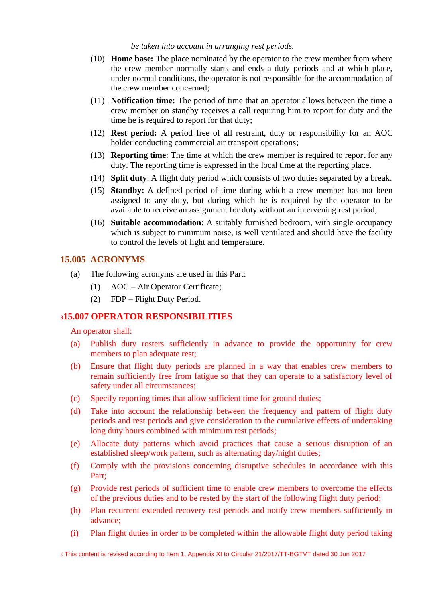#### *be taken into account in arranging rest periods.*

- (10) **Home base:** The place nominated by the operator to the crew member from where the crew member normally starts and ends a duty periods and at which place, under normal conditions, the operator is not responsible for the accommodation of the crew member concerned;
- (11) **Notification time:** The period of time that an operator allows between the time a crew member on standby receives a call requiring him to report for duty and the time he is required to report for that duty;
- (12) **Rest period:** A period free of all restraint, duty or responsibility for an AOC holder conducting commercial air transport operations;
- (13) **Reporting time**: The time at which the crew member is required to report for any duty. The reporting time is expressed in the local time at the reporting place.
- (14) **Split duty**: A flight duty period which consists of two duties separated by a break.
- (15) **Standby:** A defined period of time during which a crew member has not been assigned to any duty, but during which he is required by the operator to be available to receive an assignment for duty without an intervening rest period;
- (16) **Suitable accommodation**: A suitably furnished bedroom, with single occupancy which is subject to minimum noise, is well ventilated and should have the facility to control the levels of light and temperature.

### <span id="page-3-0"></span>**15.005 ACRONYMS**

- (a) The following acronyms are used in this Part:
	- (1) AOC Air Operator Certificate;
	- (2) FDP Flight Duty Period.

## <span id="page-3-1"></span>**<sup>3</sup>15.007 OPERATOR RESPONSIBILITIES**

An operator shall:

- (a) Publish duty rosters sufficiently in advance to provide the opportunity for crew members to plan adequate rest;
- (b) Ensure that flight duty periods are planned in a way that enables crew members to remain sufficiently free from fatigue so that they can operate to a satisfactory level of safety under all circumstances;
- (c) Specify reporting times that allow sufficient time for ground duties;
- (d) Take into account the relationship between the frequency and pattern of flight duty periods and rest periods and give consideration to the cumulative effects of undertaking long duty hours combined with minimum rest periods;
- (e) Allocate duty patterns which avoid practices that cause a serious disruption of an established sleep/work pattern, such as alternating day/night duties;
- (f) Comply with the provisions concerning disruptive schedules in accordance with this Part;
- (g) Provide rest periods of sufficient time to enable crew members to overcome the effects of the previous duties and to be rested by the start of the following flight duty period;
- (h) Plan recurrent extended recovery rest periods and notify crew members sufficiently in advance;
- (i) Plan flight duties in order to be completed within the allowable flight duty period taking

3 This content is revised according to Item 1, Appendix XI to Circular 21/2017/TT-BGTVT dated 30 Jun 2017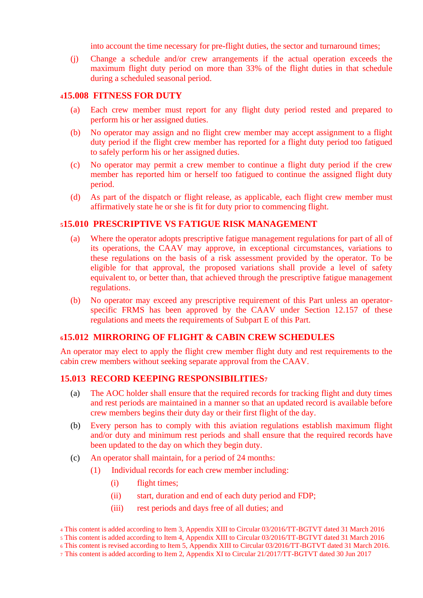into account the time necessary for pre-flight duties, the sector and turnaround times;

(j) Change a schedule and/or crew arrangements if the actual operation exceeds the maximum flight duty period on more than 33% of the flight duties in that schedule during a scheduled seasonal period.

## <span id="page-4-0"></span>**<sup>4</sup>15.008 FITNESS FOR DUTY**

- (a) Each crew member must report for any flight duty period rested and prepared to perform his or her assigned duties.
- (b) No operator may assign and no flight crew member may accept assignment to a flight duty period if the flight crew member has reported for a flight duty period too fatigued to safely perform his or her assigned duties.
- (c) No operator may permit a crew member to continue a flight duty period if the crew member has reported him or herself too fatigued to continue the assigned flight duty period.
- (d) As part of the dispatch or flight release, as applicable, each flight crew member must affirmatively state he or she is fit for duty prior to commencing flight.

## <span id="page-4-1"></span>**<sup>5</sup>15.010 PRESCRIPTIVE VS FATIGUE RISK MANAGEMENT**

- (a) Where the operator adopts prescriptive fatigue management regulations for part of all of its operations, the CAAV may approve, in exceptional circumstances, variations to these regulations on the basis of a risk assessment provided by the operator. To be eligible for that approval, the proposed variations shall provide a level of safety equivalent to, or better than, that achieved through the prescriptive fatigue management regulations.
- (b) No operator may exceed any prescriptive requirement of this Part unless an operatorspecific FRMS has been approved by the CAAV under Section 12.157 of these regulations and meets the requirements of Subpart E of this Part.

#### <span id="page-4-2"></span>**<sup>6</sup>15.012 MIRRORING OF FLIGHT & CABIN CREW SCHEDULES**

An operator may elect to apply the flight crew member flight duty and rest requirements to the cabin crew members without seeking separate approval from the CAAV.

## <span id="page-4-3"></span>**15.013 RECORD KEEPING RESPONSIBILITIES<sup>7</sup>**

- (a) The AOC holder shall ensure that the required records for tracking flight and duty times and rest periods are maintained in a manner so that an updated record is available before crew members begins their duty day or their first flight of the day.
- (b) Every person has to comply with this aviation regulations establish maximum flight and/or duty and minimum rest periods and shall ensure that the required records have been updated to the day on which they begin duty.
- (c) An operator shall maintain, for a period of 24 months:
	- (1) Individual records for each crew member including:
		- (i) flight times;
		- (ii) start, duration and end of each duty period and FDP;
		- (iii) rest periods and days free of all duties; and

<sup>4</sup> This content is added according to Item 3, Appendix XIII to Circular 03/2016/TT-BGTVT dated 31 March 2016

<sup>5</sup> This content is added according to Item 4, Appendix XIII to Circular 03/2016/TT-BGTVT dated 31 March 2016

<sup>6</sup> This content is revised according to Item 5, Appendix XIII to Circular 03/2016/TT-BGTVT dated 31 March 2016.

<sup>7</sup> This content is added according to Item 2, Appendix XI to Circular 21/2017/TT-BGTVT dated 30 Jun 2017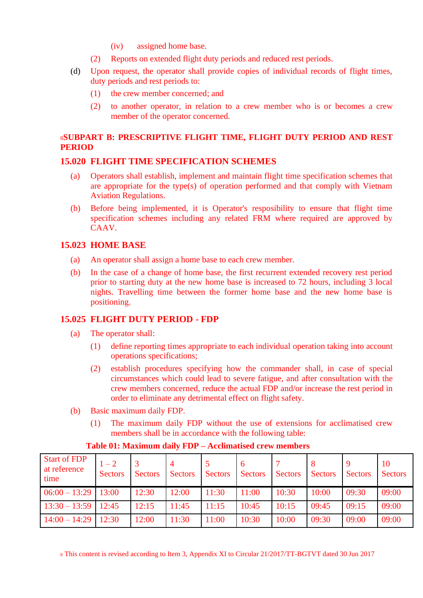- (iv) assigned home base.
- (2) Reports on extended flight duty periods and reduced rest periods.
- (d) Upon request, the operator shall provide copies of individual records of flight times, duty periods and rest periods to:
	- (1) the crew member concerned; and
	- (2) to another operator, in relation to a crew member who is or becomes a crew member of the operator concerned.

## <span id="page-5-0"></span><sup>8</sup>**SUBPART B: PRESCRIPTIVE FLIGHT TIME, FLIGHT DUTY PERIOD AND REST PERIOD**

## <span id="page-5-1"></span>**15.020 FLIGHT TIME SPECIFICATION SCHEMES**

- (a) Operators shall establish, implement and maintain flight time specification schemes that are appropriate for the type(s) of operation performed and that comply with Vietnam Aviation Regulations.
- (b) Before being implemented, it is Operator's resposibility to ensure that flight time specification schemes including any related FRM where required are approved by CAAV.

## <span id="page-5-2"></span>**15.023 HOME BASE**

- (a) An operator shall assign a home base to each crew member.
- (b) In the case of a change of home base, the first recurrent extended recovery rest period prior to starting duty at the new home base is increased to 72 hours, including 3 local nights. Travelling time between the former home base and the new home base is positioning.

## <span id="page-5-3"></span>**15.025 FLIGHT DUTY PERIOD - FDP**

- (a) The operator shall:
	- (1) define reporting times appropriate to each individual operation taking into account operations specifications;
	- (2) establish procedures specifying how the commander shall, in case of special circumstances which could lead to severe fatigue, and after consultation with the crew members concerned, reduce the actual FDP and/or increase the rest period in order to eliminate any detrimental effect on flight safety.
- (b) Basic maximum daily FDP.
	- (1) The maximum daily FDP without the use of extensions for acclimatised crew members shall be in accordance with the following table:

| <b>Start of FDP</b><br>at reference<br>time | $1 - 2$<br>Sectors | <b>Sectors</b> | <b>Sectors</b> | <b>Sectors</b> | $\mathbf b$<br><b>Sectors</b> | <b>Sectors</b> | <b>Sectors</b> | <b>Sectors</b> | 10<br><b>Sectors</b> |
|---------------------------------------------|--------------------|----------------|----------------|----------------|-------------------------------|----------------|----------------|----------------|----------------------|
| $06:00 - 13:29$                             | 13:00              | 12:30          | 12:00          | 11:30          | 11:00                         | 10:30          | 10:00          | 09:30          | 09:00                |
| $13:30 - 13:59$   12:45                     |                    | 12:15          | 11:45          | 11:15          | 10:45                         | 10:15          | 09:45          | 09:15          | 09:00                |
| $14:00 - 14:29$                             | 12:30              | 12:00          | 11:30          | 11:00          | 10:30                         | 10:00          | 09:30          | 09:00          | 09:00                |

### **Table 01: Maximum daily FDP – Acclimatised crew members**

<sup>8</sup> This content is revised according to Item 3, Appendix XI to Circular 21/2017/TT-BGTVT dated 30 Jun 2017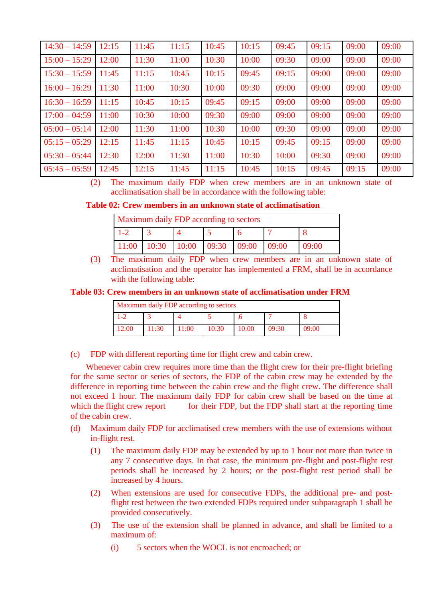| $14:30 - 14:59$ | 12:15 | 11:45 | 11:15 | 10:45 | 10:15 | 09:45 | 09:15 | 09:00 | 09:00 |
|-----------------|-------|-------|-------|-------|-------|-------|-------|-------|-------|
| $15:00 - 15:29$ | 12:00 | 11:30 | 11:00 | 10:30 | 10:00 | 09:30 | 09:00 | 09:00 | 09:00 |
| $15:30 - 15:59$ | 11:45 | 11:15 | 10:45 | 10:15 | 09:45 | 09:15 | 09:00 | 09:00 | 09:00 |
| $16:00 - 16:29$ | 11:30 | 11:00 | 10:30 | 10:00 | 09:30 | 09:00 | 09:00 | 09:00 | 09:00 |
| $16:30 - 16:59$ | 11:15 | 10:45 | 10:15 | 09:45 | 09:15 | 09:00 | 09:00 | 09:00 | 09:00 |
| $17:00 - 04:59$ | 11:00 | 10:30 | 10:00 | 09:30 | 09:00 | 09:00 | 09:00 | 09:00 | 09:00 |
| $05:00 - 05:14$ | 12:00 | 11:30 | 11:00 | 10:30 | 10:00 | 09:30 | 09:00 | 09:00 | 09:00 |
| $05:15 - 05:29$ | 12:15 | 11:45 | 11:15 | 10:45 | 10:15 | 09:45 | 09:15 | 09:00 | 09:00 |
| $05:30 - 05:44$ | 12:30 | 12:00 | 11:30 | 11:00 | 10:30 | 10:00 | 09:30 | 09:00 | 09:00 |
| $05:45 - 05:59$ | 12:45 | 12:15 | 11:45 | 11:15 | 10:45 | 10:15 | 09:45 | 09:15 | 09:00 |

(2) The maximum daily FDP when crew members are in an unknown state of acclimatisation shall be in accordance with the following table:

**Table 02: Crew members in an unknown state of acclimatisation** 

| Maximum daily FDP according to sectors |                                 |  |  |  |       |       |
|----------------------------------------|---------------------------------|--|--|--|-------|-------|
|                                        |                                 |  |  |  |       |       |
|                                        | $11:00$ 10:30 10:00 09:30 09:00 |  |  |  | 09:00 | 09:00 |

(3) The maximum daily FDP when crew members are in an unknown state of acclimatisation and the operator has implemented a FRM, shall be in accordance with the following table:

### **Table 03: Crew members in an unknown state of acclimatisation under FRM**

| Maximum daily FDP according to sectors |       |       |       |       |       |       |  |
|----------------------------------------|-------|-------|-------|-------|-------|-------|--|
|                                        |       |       |       |       |       |       |  |
|                                        | 11:30 | 11:00 | 10:30 | 10:00 | 09:30 | 09:00 |  |

(c) FDP with different reporting time for flight crew and cabin crew.

Whenever cabin crew requires more time than the flight crew for their pre-flight briefing for the same sector or series of sectors, the FDP of the cabin crew may be extended by the difference in reporting time between the cabin crew and the flight crew. The difference shall not exceed 1 hour. The maximum daily FDP for cabin crew shall be based on the time at which the flight crew report for their FDP, but the FDP shall start at the reporting time of the cabin crew.

- (d) Maximum daily FDP for acclimatised crew members with the use of extensions without in-flight rest.
	- (1) The maximum daily FDP may be extended by up to 1 hour not more than twice in any 7 consecutive days. In that case, the minimum pre-flight and post-flight rest periods shall be increased by 2 hours; or the post-flight rest period shall be increased by 4 hours.
	- (2) When extensions are used for consecutive FDPs, the additional pre- and postflight rest between the two extended FDPs required under subparagraph 1 shall be provided consecutively.
	- (3) The use of the extension shall be planned in advance, and shall be limited to a maximum of:
		- (i) 5 sectors when the WOCL is not encroached; or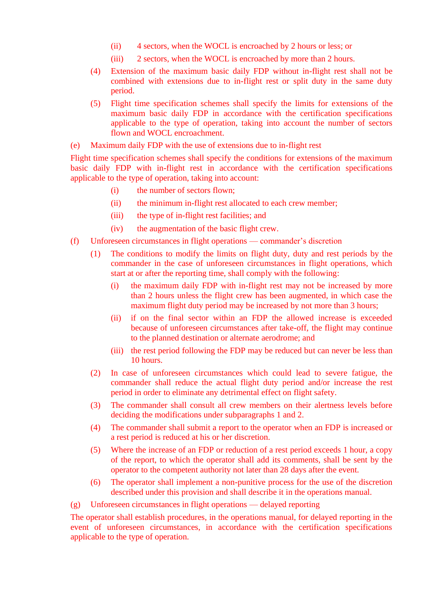- (ii) 4 sectors, when the WOCL is encroached by 2 hours or less; or
- (iii) 2 sectors, when the WOCL is encroached by more than 2 hours.
- (4) Extension of the maximum basic daily FDP without in-flight rest shall not be combined with extensions due to in-flight rest or split duty in the same duty period.
- (5) Flight time specification schemes shall specify the limits for extensions of the maximum basic daily FDP in accordance with the certification specifications applicable to the type of operation, taking into account the number of sectors flown and WOCL encroachment.
- (e) Maximum daily FDP with the use of extensions due to in-flight rest

Flight time specification schemes shall specify the conditions for extensions of the maximum basic daily FDP with in-flight rest in accordance with the certification specifications applicable to the type of operation, taking into account:

- (i) the number of sectors flown;
- (ii) the minimum in-flight rest allocated to each crew member;
- (iii) the type of in-flight rest facilities; and
- (iv) the augmentation of the basic flight crew.
- (f) Unforeseen circumstances in flight operations commander's discretion
	- (1) The conditions to modify the limits on flight duty, duty and rest periods by the commander in the case of unforeseen circumstances in flight operations, which start at or after the reporting time, shall comply with the following:
		- (i) the maximum daily FDP with in-flight rest may not be increased by more than 2 hours unless the flight crew has been augmented, in which case the maximum flight duty period may be increased by not more than 3 hours;
		- (ii) if on the final sector within an FDP the allowed increase is exceeded because of unforeseen circumstances after take-off, the flight may continue to the planned destination or alternate aerodrome; and
		- (iii) the rest period following the FDP may be reduced but can never be less than 10 hours.
	- (2) In case of unforeseen circumstances which could lead to severe fatigue, the commander shall reduce the actual flight duty period and/or increase the rest period in order to eliminate any detrimental effect on flight safety.
	- (3) The commander shall consult all crew members on their alertness levels before deciding the modifications under subparagraphs 1 and 2.
	- (4) The commander shall submit a report to the operator when an FDP is increased or a rest period is reduced at his or her discretion.
	- (5) Where the increase of an FDP or reduction of a rest period exceeds 1 hour, a copy of the report, to which the operator shall add its comments, shall be sent by the operator to the competent authority not later than 28 days after the event.
	- (6) The operator shall implement a non-punitive process for the use of the discretion described under this provision and shall describe it in the operations manual.

(g) Unforeseen circumstances in flight operations — delayed reporting

The operator shall establish procedures, in the operations manual, for delayed reporting in the event of unforeseen circumstances, in accordance with the certification specifications applicable to the type of operation.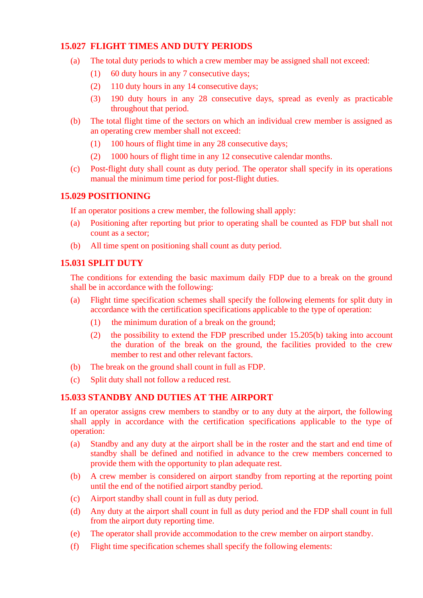## <span id="page-8-0"></span>**15.027 FLIGHT TIMES AND DUTY PERIODS**

- (a) The total duty periods to which a crew member may be assigned shall not exceed:
	- (1) 60 duty hours in any 7 consecutive days;
	- (2) 110 duty hours in any 14 consecutive days;
	- (3) 190 duty hours in any 28 consecutive days, spread as evenly as practicable throughout that period.
- (b) The total flight time of the sectors on which an individual crew member is assigned as an operating crew member shall not exceed:
	- (1) 100 hours of flight time in any 28 consecutive days;
	- (2) 1000 hours of flight time in any 12 consecutive calendar months.
- (c) Post-flight duty shall count as duty period. The operator shall specify in its operations manual the minimum time period for post-flight duties.

## <span id="page-8-1"></span>**15.029 POSITIONING**

If an operator positions a crew member, the following shall apply:

- (a) Positioning after reporting but prior to operating shall be counted as FDP but shall not count as a sector;
- (b) All time spent on positioning shall count as duty period.

## <span id="page-8-2"></span>**15.031 SPLIT DUTY**

The conditions for extending the basic maximum daily FDP due to a break on the ground shall be in accordance with the following:

- (a) Flight time specification schemes shall specify the following elements for split duty in accordance with the certification specifications applicable to the type of operation:
	- (1) the minimum duration of a break on the ground;
	- (2) the possibility to extend the FDP prescribed under 15.205(b) taking into account the duration of the break on the ground, the facilities provided to the crew member to rest and other relevant factors.
- (b) The break on the ground shall count in full as FDP.
- (c) Split duty shall not follow a reduced rest.

## <span id="page-8-3"></span>**15.033 STANDBY AND DUTIES AT THE AIRPORT**

If an operator assigns crew members to standby or to any duty at the airport, the following shall apply in accordance with the certification specifications applicable to the type of operation:

- (a) Standby and any duty at the airport shall be in the roster and the start and end time of standby shall be defined and notified in advance to the crew members concerned to provide them with the opportunity to plan adequate rest.
- (b) A crew member is considered on airport standby from reporting at the reporting point until the end of the notified airport standby period.
- (c) Airport standby shall count in full as duty period.
- (d) Any duty at the airport shall count in full as duty period and the FDP shall count in full from the airport duty reporting time.
- (e) The operator shall provide accommodation to the crew member on airport standby.
- (f) Flight time specification schemes shall specify the following elements: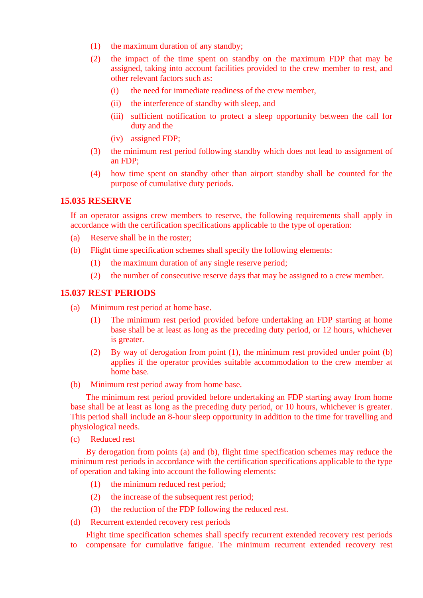- (1) the maximum duration of any standby;
- (2) the impact of the time spent on standby on the maximum FDP that may be assigned, taking into account facilities provided to the crew member to rest, and other relevant factors such as:
	- (i) the need for immediate readiness of the crew member,
	- (ii) the interference of standby with sleep, and
	- (iii) sufficient notification to protect a sleep opportunity between the call for duty and the
	- (iv) assigned FDP;
- (3) the minimum rest period following standby which does not lead to assignment of an FDP;
- (4) how time spent on standby other than airport standby shall be counted for the purpose of cumulative duty periods.

#### <span id="page-9-0"></span>**15.035 RESERVE**

If an operator assigns crew members to reserve, the following requirements shall apply in accordance with the certification specifications applicable to the type of operation:

- (a) Reserve shall be in the roster;
- (b) Flight time specification schemes shall specify the following elements:
	- (1) the maximum duration of any single reserve period;
	- (2) the number of consecutive reserve days that may be assigned to a crew member.

### <span id="page-9-1"></span>**15.037 REST PERIODS**

- (a) Minimum rest period at home base.
	- (1) The minimum rest period provided before undertaking an FDP starting at home base shall be at least as long as the preceding duty period, or 12 hours, whichever is greater.
	- (2) By way of derogation from point (1), the minimum rest provided under point (b) applies if the operator provides suitable accommodation to the crew member at home base.
- (b) Minimum rest period away from home base.

The minimum rest period provided before undertaking an FDP starting away from home base shall be at least as long as the preceding duty period, or 10 hours, whichever is greater. This period shall include an 8-hour sleep opportunity in addition to the time for travelling and physiological needs.

(c) Reduced rest

By derogation from points (a) and (b), flight time specification schemes may reduce the minimum rest periods in accordance with the certification specifications applicable to the type of operation and taking into account the following elements:

- (1) the minimum reduced rest period;
- (2) the increase of the subsequent rest period;
- (3) the reduction of the FDP following the reduced rest.
- (d) Recurrent extended recovery rest periods

Flight time specification schemes shall specify recurrent extended recovery rest periods to compensate for cumulative fatigue. The minimum recurrent extended recovery rest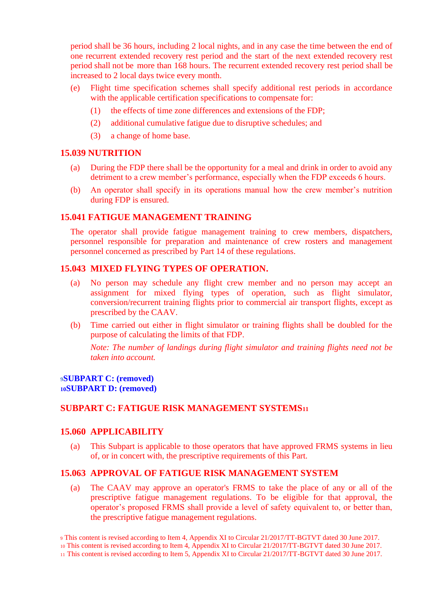period shall be 36 hours, including 2 local nights, and in any case the time between the end of one recurrent extended recovery rest period and the start of the next extended recovery rest period shall not be more than 168 hours. The recurrent extended recovery rest period shall be increased to 2 local days twice every month.

- (e) Flight time specification schemes shall specify additional rest periods in accordance with the applicable certification specifications to compensate for:
	- (1) the effects of time zone differences and extensions of the FDP;
	- (2) additional cumulative fatigue due to disruptive schedules; and
	- (3) a change of home base.

## <span id="page-10-0"></span>**15.039 NUTRITION**

- (a) During the FDP there shall be the opportunity for a meal and drink in order to avoid any detriment to a crew member's performance, especially when the FDP exceeds 6 hours.
- (b) An operator shall specify in its operations manual how the crew member's nutrition during FDP is ensured.

### <span id="page-10-1"></span>**15.041 FATIGUE MANAGEMENT TRAINING**

The operator shall provide fatigue management training to crew members, dispatchers, personnel responsible for preparation and maintenance of crew rosters and management personnel concerned as prescribed by Part 14 of these regulations.

## <span id="page-10-2"></span>**15.043 MIXED FLYING TYPES OF OPERATION.**

- (a) No person may schedule any flight crew member and no person may accept an assignment for mixed flying types of operation, such as flight simulator, conversion/recurrent training flights prior to commercial air transport flights, except as prescribed by the CAAV.
- (b) Time carried out either in flight simulator or training flights shall be doubled for the purpose of calculating the limits of that FDP.

*Note: The number of landings during flight simulator and training flights need not be taken into account.*

#### <span id="page-10-4"></span><span id="page-10-3"></span>**<sup>9</sup>SUBPART C: (removed) <sup>10</sup>SUBPART D: (removed)**

## <span id="page-10-5"></span>**SUBPART C: FATIGUE RISK MANAGEMENT SYSTEMS<sup>11</sup>**

## <span id="page-10-6"></span>**15.060 APPLICABILITY**

(a) This Subpart is applicable to those operators that have approved FRMS systems in lieu of, or in concert with, the prescriptive requirements of this Part.

## <span id="page-10-7"></span>**15.063 APPROVAL OF FATIGUE RISK MANAGEMENT SYSTEM**

(a) The CAAV may approve an operator's FRMS to take the place of any or all of the prescriptive fatigue management regulations. To be eligible for that approval, the operator's proposed FRMS shall provide a level of safety equivalent to, or better than, the prescriptive fatigue management regulations.

<sup>9</sup> This content is revised according to Item 4, Appendix XI to Circular 21/2017/TT-BGTVT dated 30 June 2017.

<sup>10</sup> This content is revised according to Item 4, Appendix XI to Circular 21/2017/TT-BGTVT dated 30 June 2017.

<sup>11</sup> This content is revised according to Item 5, Appendix XI to Circular 21/2017/TT-BGTVT dated 30 June 2017.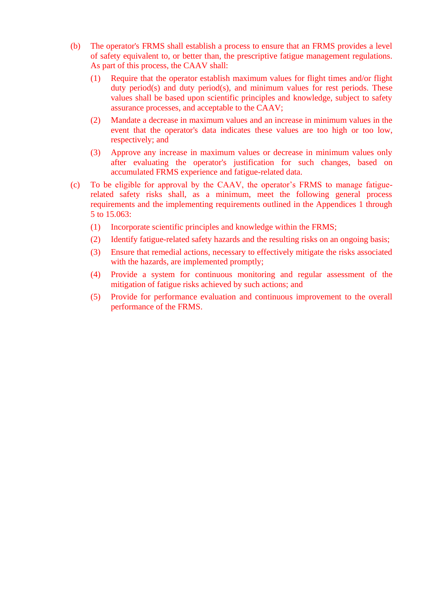- (b) The operator's FRMS shall establish a process to ensure that an FRMS provides a level of safety equivalent to, or better than, the prescriptive fatigue management regulations. As part of this process, the CAAV shall:
	- (1) Require that the operator establish maximum values for flight times and/or flight duty period(s) and duty period(s), and minimum values for rest periods. These values shall be based upon scientific principles and knowledge, subject to safety assurance processes, and acceptable to the CAAV;
	- (2) Mandate a decrease in maximum values and an increase in minimum values in the event that the operator's data indicates these values are too high or too low, respectively; and
	- (3) Approve any increase in maximum values or decrease in minimum values only after evaluating the operator's justification for such changes, based on accumulated FRMS experience and fatigue-related data.
- (c) To be eligible for approval by the CAAV, the operator's FRMS to manage fatiguerelated safety risks shall, as a minimum, meet the following general process requirements and the implementing requirements outlined in the Appendices 1 through 5 to 15.063:
	- (1) Incorporate scientific principles and knowledge within the FRMS;
	- (2) Identify fatigue-related safety hazards and the resulting risks on an ongoing basis;
	- (3) Ensure that remedial actions, necessary to effectively mitigate the risks associated with the hazards, are implemented promptly;
	- (4) Provide a system for continuous monitoring and regular assessment of the mitigation of fatigue risks achieved by such actions; and
	- (5) Provide for performance evaluation and continuous improvement to the overall performance of the FRMS.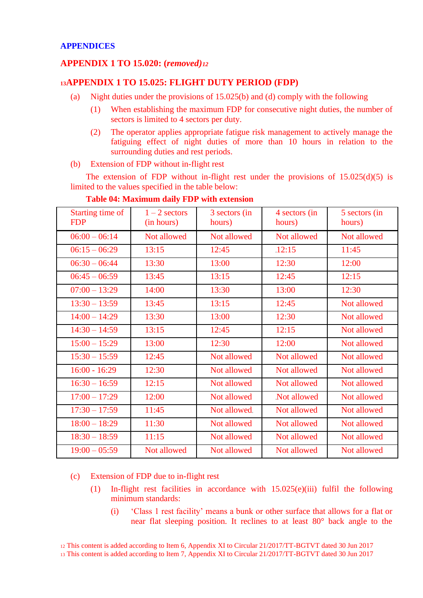## <span id="page-12-1"></span><span id="page-12-0"></span>**APPENDIX 1 TO 15.020: (***removed)<sup>12</sup>*

## <span id="page-12-2"></span>**<sup>13</sup>APPENDIX 1 TO 15.025: FLIGHT DUTY PERIOD (FDP)**

- (a) Night duties under the provisions of 15.025(b) and (d) comply with the following
	- (1) When establishing the maximum FDP for consecutive night duties, the number of sectors is limited to 4 sectors per duty.
	- (2) The operator applies appropriate fatigue risk management to actively manage the fatiguing effect of night duties of more than 10 hours in relation to the surrounding duties and rest periods.
- (b) Extension of FDP without in-flight rest

The extension of FDP without in-flight rest under the provisions of  $15.025(d)(5)$  is limited to the values specified in the table below:

| Starting time of<br><b>FDP</b> | $1 - 2$ sectors<br>(in hours) | 3 sectors (in<br>hours) | 4 sectors (in<br>hours) | 5 sectors (in<br>hours) |
|--------------------------------|-------------------------------|-------------------------|-------------------------|-------------------------|
| $06:00 - 06:14$                | Not allowed                   | Not allowed             | Not allowed             | Not allowed             |
| $06:15 - 06:29$                | 13:15                         | 12:45                   | 12:15                   | 11:45                   |
| $06:30 - 06:44$                | 13:30                         | 13:00                   | 12:30                   | 12:00                   |
| $06:45 - 06:59$                | 13:45                         | 13:15                   | 12:45                   | 12:15                   |
| $07:00 - 13:29$                | 14:00                         | 13:30                   | 13:00                   | 12:30                   |
| $13:30 - 13:59$                | 13:45                         | 13:15                   | 12:45                   | Not allowed             |
| $14:00 - 14:29$                | 13:30                         | 13:00                   | 12:30                   | Not allowed             |
| $14:30 - 14:59$                | 13:15                         | 12:45                   | 12:15                   | Not allowed             |
| $15:00 - 15:29$                | 13:00                         | 12:30                   | 12:00                   | Not allowed             |
| $15:30 - 15:59$                | 12:45                         | Not allowed             | Not allowed             | Not allowed             |
| $16:00 - 16:29$                | 12:30                         | Not allowed             | Not allowed             | Not allowed             |
| $16:30 - 16:59$                | 12:15                         | Not allowed             | Not allowed             | Not allowed             |
| $17:00 - 17:29$                | 12:00                         | Not allowed             | Not allowed             | Not allowed             |
| $17:30 - 17:59$                | 11:45                         | Not allowed.            | Not allowed             | Not allowed             |
| $18:00 - 18:29$                | 11:30                         | Not allowed             | Not allowed             | Not allowed             |
| $18:30 - 18:59$                | 11:15                         | Not allowed             | Not allowed             | Not allowed             |
| $19:00 - 05:59$                | Not allowed                   | Not allowed             | Not allowed             | Not allowed             |

## **Table 04: Maximum daily FDP with extension**

(c) Extension of FDP due to in-flight rest

- (1) In-flight rest facilities in accordance with 15.025(e)(iii) fulfil the following minimum standards:
	- (i) 'Class 1 rest facility' means a bunk or other surface that allows for a flat or near flat sleeping position. It reclines to at least 80° back angle to the

<sup>12</sup> This content is added according to Item 6, Appendix XI to Circular 21/2017/TT-BGTVT dated 30 Jun 2017

<sup>13</sup> This content is added according to Item 7, Appendix XI to Circular 21/2017/TT-BGTVT dated 30 Jun 2017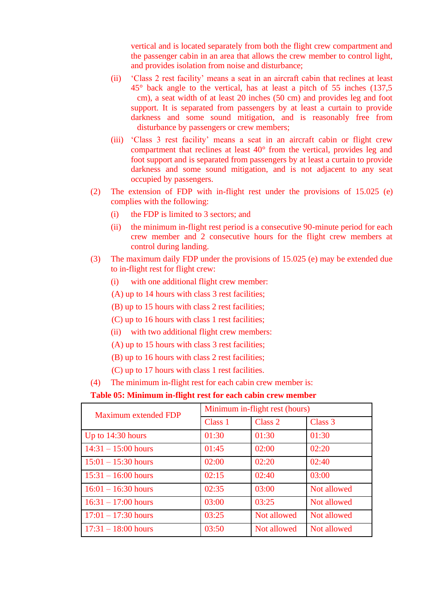vertical and is located separately from both the flight crew compartment and the passenger cabin in an area that allows the crew member to control light, and provides isolation from noise and disturbance;

- (ii) 'Class 2 rest facility' means a seat in an aircraft cabin that reclines at least 45° back angle to the vertical, has at least a pitch of 55 inches (137,5 cm), a seat width of at least 20 inches (50 cm) and provides leg and foot support. It is separated from passengers by at least a curtain to provide darkness and some sound mitigation, and is reasonably free from disturbance by passengers or crew members;
- (iii) 'Class 3 rest facility' means a seat in an aircraft cabin or flight crew compartment that reclines at least 40° from the vertical, provides leg and foot support and is separated from passengers by at least a curtain to provide darkness and some sound mitigation, and is not adjacent to any seat occupied by passengers.
- (2) The extension of FDP with in-flight rest under the provisions of 15.025 (e) complies with the following:
	- (i) the FDP is limited to 3 sectors; and
	- (ii) the minimum in-flight rest period is a consecutive 90-minute period for each crew member and 2 consecutive hours for the flight crew members at control during landing.
- (3) The maximum daily FDP under the provisions of 15.025 (e) may be extended due to in-flight rest for flight crew:
	- (i) with one additional flight crew member:
	- (A) up to 14 hours with class 3 rest facilities;
	- (B) up to 15 hours with class 2 rest facilities;
	- (C) up to 16 hours with class 1 rest facilities;
	- (ii) with two additional flight crew members:
	- (A) up to 15 hours with class 3 rest facilities;
	- (B) up to 16 hours with class 2 rest facilities;
	- (C) up to 17 hours with class 1 rest facilities.
- (4) The minimum in-flight rest for each cabin crew member is:

#### **Table 05: Minimum in-flight rest for each cabin crew member**

| Maximum extended FDP  | Minimum in-flight rest (hours) |             |             |  |  |
|-----------------------|--------------------------------|-------------|-------------|--|--|
|                       | Class 1                        | Class 2     | Class 3     |  |  |
| Up to $14:30$ hours   | 01:30                          | 01:30       | 01:30       |  |  |
| $14:31 - 15:00$ hours | 01:45                          | 02:00       | 02:20       |  |  |
| $15:01 - 15:30$ hours | 02:00                          | 02:20       | 02:40       |  |  |
| $15:31 - 16:00$ hours | 02:15                          | 02:40       | 03:00       |  |  |
| $16:01 - 16:30$ hours | 02:35                          | 03:00       | Not allowed |  |  |
| $16:31 - 17:00$ hours | 03:00                          | 03:25       | Not allowed |  |  |
| $17:01 - 17:30$ hours | 03:25                          | Not allowed | Not allowed |  |  |
| $17:31 - 18:00$ hours | 03:50                          | Not allowed | Not allowed |  |  |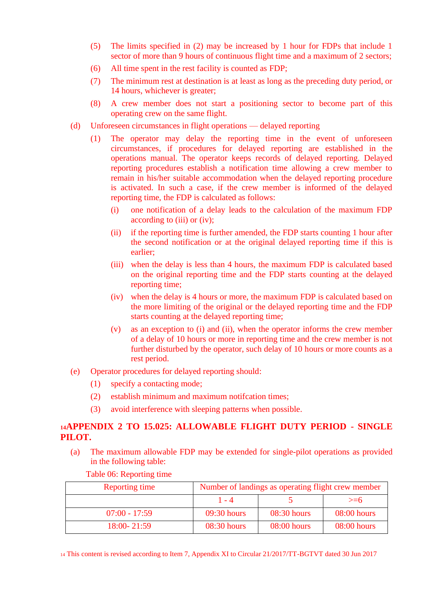- (5) The limits specified in (2) may be increased by 1 hour for FDPs that include 1 sector of more than 9 hours of continuous flight time and a maximum of 2 sectors;
- (6) All time spent in the rest facility is counted as FDP;
- (7) The minimum rest at destination is at least as long as the preceding duty period, or 14 hours, whichever is greater;
- (8) A crew member does not start a positioning sector to become part of this operating crew on the same flight.
- (d) Unforeseen circumstances in flight operations delayed reporting
	- (1) The operator may delay the reporting time in the event of unforeseen circumstances, if procedures for delayed reporting are established in the operations manual. The operator keeps records of delayed reporting. Delayed reporting procedures establish a notification time allowing a crew member to remain in his/her suitable accommodation when the delayed reporting procedure is activated. In such a case, if the crew member is informed of the delayed reporting time, the FDP is calculated as follows:
		- (i) one notification of a delay leads to the calculation of the maximum FDP according to (iii) or (iv);
		- (ii) if the reporting time is further amended, the FDP starts counting 1 hour after the second notification or at the original delayed reporting time if this is earlier;
		- (iii) when the delay is less than 4 hours, the maximum FDP is calculated based on the original reporting time and the FDP starts counting at the delayed reporting time;
		- (iv) when the delay is 4 hours or more, the maximum FDP is calculated based on the more limiting of the original or the delayed reporting time and the FDP starts counting at the delayed reporting time;
		- (v) as an exception to (i) and (ii), when the operator informs the crew member of a delay of 10 hours or more in reporting time and the crew member is not further disturbed by the operator, such delay of 10 hours or more counts as a rest period.
- (e) Operator procedures for delayed reporting should:
	- (1) specify a contacting mode;
	- (2) establish minimum and maximum notifcation times;
	- (3) avoid interference with sleeping patterns when possible.

## <span id="page-14-0"></span>**<sup>14</sup>APPENDIX 2 TO 15.025: ALLOWABLE FLIGHT DUTY PERIOD - SINGLE PILOT.**

(a) The maximum allowable FDP may be extended for single-pilot operations as provided in the following table:

| Reporting time  | Number of landings as operating flight crew member |               |             |  |  |  |
|-----------------|----------------------------------------------------|---------------|-------------|--|--|--|
|                 | 1 - 4                                              |               | $>= 6$      |  |  |  |
| $07:00 - 17:59$ | 09:30 hours                                        | $08:30$ hours | 08:00 hours |  |  |  |
| $18:00 - 21:59$ | 08:30 hours                                        | 08:00 hours   | 08:00 hours |  |  |  |

#### Table 06: Reporting time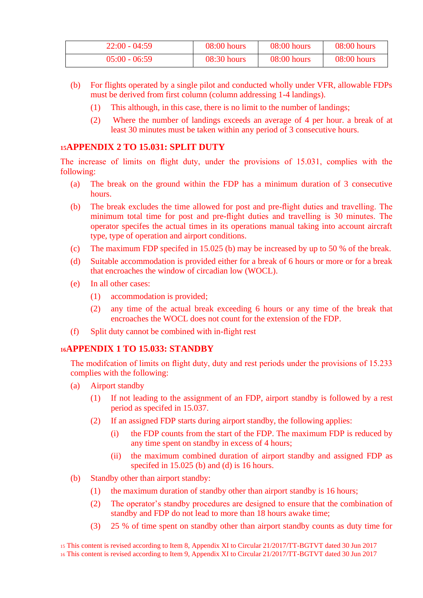| $22:00 - 04:59$ | $08:00$ hours | $08:00$ hours | $08:00$ hours |
|-----------------|---------------|---------------|---------------|
| $05:00 - 06:59$ | $08:30$ hours | $08:00$ hours | $08:00$ hours |

- (b) For flights operated by a single pilot and conducted wholly under VFR, allowable FDPs must be derived from first column (column addressing 1-4 landings).
	- (1) This although, in this case, there is no limit to the number of landings;
	- (2) Where the number of landings exceeds an average of 4 per hour. a break of at least 30 minutes must be taken within any period of 3 consecutive hours.

## <span id="page-15-0"></span>**<sup>15</sup>APPENDIX 2 TO 15.031: SPLIT DUTY**

The increase of limits on flight duty, under the provisions of 15.031, complies with the following:

- (a) The break on the ground within the FDP has a minimum duration of 3 consecutive hours.
- (b) The break excludes the time allowed for post and pre-flight duties and travelling. The minimum total time for post and pre-flight duties and travelling is 30 minutes. The operator specifes the actual times in its operations manual taking into account aircraft type, type of operation and airport conditions.
- (c) The maximum FDP specifed in 15.025 (b) may be increased by up to 50 % of the break.
- (d) Suitable accommodation is provided either for a break of 6 hours or more or for a break that encroaches the window of circadian low (WOCL).
- (e) In all other cases:
	- (1) accommodation is provided;
	- (2) any time of the actual break exceeding 6 hours or any time of the break that encroaches the WOCL does not count for the extension of the FDP.
- (f) Split duty cannot be combined with in-flight rest

## <span id="page-15-1"></span>**<sup>16</sup>APPENDIX 1 TO 15.033: STANDBY**

The modifcation of limits on flight duty, duty and rest periods under the provisions of 15.233 complies with the following:

- (a) Airport standby
	- (1) If not leading to the assignment of an FDP, airport standby is followed by a rest period as specifed in 15.037.
	- (2) If an assigned FDP starts during airport standby, the following applies:
		- (i) the FDP counts from the start of the FDP. The maximum FDP is reduced by any time spent on standby in excess of 4 hours;
		- (ii) the maximum combined duration of airport standby and assigned FDP as specifed in 15.025 (b) and (d) is 16 hours.
- (b) Standby other than airport standby:
	- (1) the maximum duration of standby other than airport standby is 16 hours;
	- (2) The operator's standby procedures are designed to ensure that the combination of standby and FDP do not lead to more than 18 hours awake time;
	- (3) 25 % of time spent on standby other than airport standby counts as duty time for

<sup>15</sup> This content is revised according to Item 8, Appendix XI to Circular 21/2017/TT-BGTVT dated 30 Jun 2017 <sup>16</sup> This content is revised according to Item 9, Appendix XI to Circular 21/2017/TT-BGTVT dated 30 Jun 2017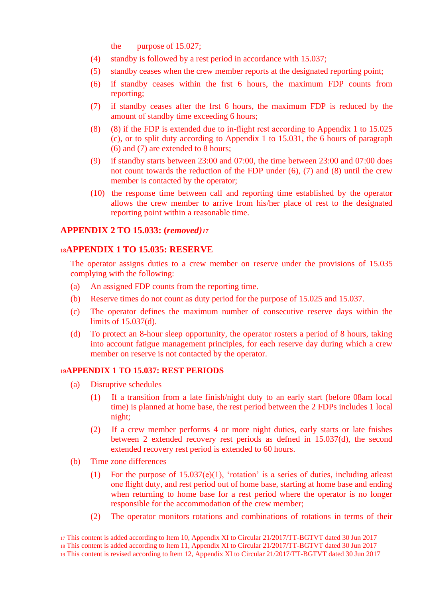the purpose of 15.027;

- (4) standby is followed by a rest period in accordance with 15.037;
- (5) standby ceases when the crew member reports at the designated reporting point;
- (6) if standby ceases within the frst 6 hours, the maximum FDP counts from reporting;
- (7) if standby ceases after the frst 6 hours, the maximum FDP is reduced by the amount of standby time exceeding 6 hours;
- (8) (8) if the FDP is extended due to in-flight rest according to Appendix 1 to 15.025 (c), or to split duty according to Appendix 1 to 15.031, the 6 hours of paragraph (6) and (7) are extended to 8 hours;
- (9) if standby starts between 23:00 and 07:00, the time between 23:00 and 07:00 does not count towards the reduction of the FDP under (6), (7) and (8) until the crew member is contacted by the operator;
- (10) the response time between call and reporting time established by the operator allows the crew member to arrive from his/her place of rest to the designated reporting point within a reasonable time.

#### <span id="page-16-0"></span>**APPENDIX 2 TO 15.033: (***removed)<sup>17</sup>*

#### <span id="page-16-1"></span>**<sup>18</sup>APPENDIX 1 TO 15.035: RESERVE**

The operator assigns duties to a crew member on reserve under the provisions of 15.035 complying with the following:

- (a) An assigned FDP counts from the reporting time.
- (b) Reserve times do not count as duty period for the purpose of 15.025 and 15.037.
- (c) The operator defines the maximum number of consecutive reserve days within the limits of 15.037(d).
- (d) To protect an 8-hour sleep opportunity, the operator rosters a period of 8 hours, taking into account fatigue management principles, for each reserve day during which a crew member on reserve is not contacted by the operator.

#### **<sup>19</sup>APPENDIX 1 TO 15.037: REST PERIODS**

- (a) Disruptive schedules
	- (1) If a transition from a late finish/night duty to an early start (before 08am local time) is planned at home base, the rest period between the 2 FDPs includes 1 local night;
	- (2) If a crew member performs 4 or more night duties, early starts or late fnishes between 2 extended recovery rest periods as defned in 15.037(d), the second extended recovery rest period is extended to 60 hours.
- (b) Time zone differences
	- (1) For the purpose of 15.037(e)(1), 'rotation' is a series of duties, including atleast one flight duty, and rest period out of home base, starting at home base and ending when returning to home base for a rest period where the operator is no longer responsible for the accommodation of the crew member;
	- (2) The operator monitors rotations and combinations of rotations in terms of their

<sup>17</sup> This content is added according to Item 10, Appendix XI to Circular 21/2017/TT-BGTVT dated 30 Jun 2017

<sup>18</sup> This content is added according to Item 11, Appendix XI to Circular 21/2017/TT-BGTVT dated 30 Jun 2017

<sup>19</sup> This content is revised according to Item 12, Appendix XI to Circular 21/2017/TT-BGTVT dated 30 Jun 2017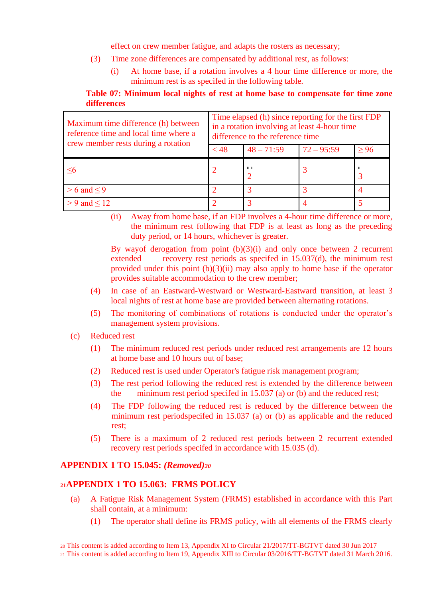effect on crew member fatigue, and adapts the rosters as necessary;

- (3) Time zone differences are compensated by additional rest, as follows:
	- (i) At home base, if a rotation involves a 4 hour time difference or more, the minimum rest is as specifed in the following table.

## **Table 07: Minimum local nights of rest at home base to compensate for time zone differences**

| Maximum time difference (h) between<br>reference time and local time where a<br>crew member rests during a rotation | Time elapsed (h) since reporting for the first FDP<br>in a rotation involving at least 4-hour time<br>difference to the reference time |              |              |      |  |  |
|---------------------------------------------------------------------------------------------------------------------|----------------------------------------------------------------------------------------------------------------------------------------|--------------|--------------|------|--|--|
|                                                                                                                     | $<$ 48                                                                                                                                 | $48 - 71:59$ | $72 - 95:59$ | > 96 |  |  |
| <6                                                                                                                  |                                                                                                                                        | <b>ALC</b>   |              |      |  |  |
| $> 6$ and $\leq 9$                                                                                                  |                                                                                                                                        |              |              |      |  |  |
| $> 9$ and $< 12$                                                                                                    |                                                                                                                                        |              |              |      |  |  |

(ii) Away from home base, if an FDP involves a 4-hour time difference or more, the minimum rest following that FDP is at least as long as the preceding duty period, or 14 hours, whichever is greater.

By wayof derogation from point  $(b)(3)(i)$  and only once between 2 recurrent extended recovery rest periods as specifed in 15.037(d), the minimum rest provided under this point (b)(3)(ii) may also apply to home base if the operator provides suitable accommodation to the crew member;

- (4) In case of an Eastward-Westward or Westward-Eastward transition, at least 3 local nights of rest at home base are provided between alternating rotations.
- (5) The monitoring of combinations of rotations is conducted under the operator's management system provisions.
- (c) Reduced rest
	- (1) The minimum reduced rest periods under reduced rest arrangements are 12 hours at home base and 10 hours out of base;
	- (2) Reduced rest is used under Operator's fatigue risk management program;
	- (3) The rest period following the reduced rest is extended by the difference between the minimum rest period specifed in 15.037 (a) or (b) and the reduced rest;
	- (4) The FDP following the reduced rest is reduced by the difference between the minimum rest periodspecifed in 15.037 (a) or (b) as applicable and the reduced rest;
	- (5) There is a maximum of 2 reduced rest periods between 2 recurrent extended recovery rest periods specifed in accordance with 15.035 (d).

## <span id="page-17-0"></span>**APPENDIX 1 TO 15.045:** *(Removed)<sup>20</sup>*

## <span id="page-17-1"></span>**<sup>21</sup>APPENDIX 1 TO 15.063: FRMS POLICY**

- (a) A Fatigue Risk Management System (FRMS) established in accordance with this Part shall contain, at a minimum:
	- (1) The operator shall define its FRMS policy, with all elements of the FRMS clearly

<sup>20</sup> This content is added according to Item 13, Appendix XI to Circular 21/2017/TT-BGTVT dated 30 Jun 2017

<sup>21</sup> This content is added according to Item 19, Appendix XIII to Circular 03/2016/TT-BGTVT dated 31 March 2016.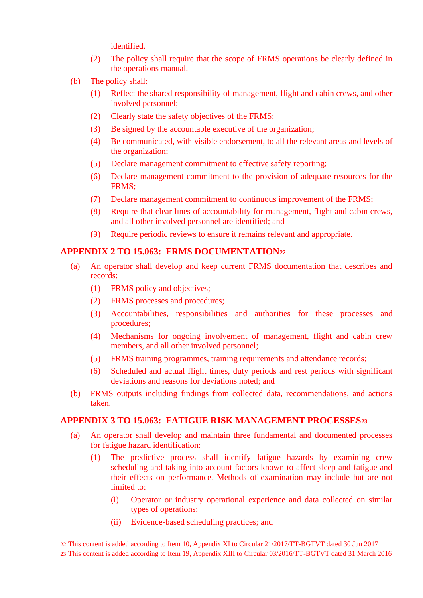identified.

- (2) The policy shall require that the scope of FRMS operations be clearly defined in the operations manual.
- (b) The policy shall:
	- (1) Reflect the shared responsibility of management, flight and cabin crews, and other involved personnel;
	- (2) Clearly state the safety objectives of the FRMS;
	- (3) Be signed by the accountable executive of the organization;
	- (4) Be communicated, with visible endorsement, to all the relevant areas and levels of the organization;
	- (5) Declare management commitment to effective safety reporting;
	- (6) Declare management commitment to the provision of adequate resources for the FRMS;
	- (7) Declare management commitment to continuous improvement of the FRMS;
	- (8) Require that clear lines of accountability for management, flight and cabin crews, and all other involved personnel are identified; and
	- (9) Require periodic reviews to ensure it remains relevant and appropriate.

### <span id="page-18-0"></span>**APPENDIX 2 TO 15.063: FRMS DOCUMENTATION<sup>22</sup>**

- (a) An operator shall develop and keep current FRMS documentation that describes and records:
	- (1) FRMS policy and objectives;
	- (2) FRMS processes and procedures;
	- (3) Accountabilities, responsibilities and authorities for these processes and procedures;
	- (4) Mechanisms for ongoing involvement of management, flight and cabin crew members, and all other involved personnel;
	- (5) FRMS training programmes, training requirements and attendance records;
	- (6) Scheduled and actual flight times, duty periods and rest periods with significant deviations and reasons for deviations noted; and
- (b) FRMS outputs including findings from collected data, recommendations, and actions taken.

## <span id="page-18-1"></span>**APPENDIX 3 TO 15.063: FATIGUE RISK MANAGEMENT PROCESSES<sup>23</sup>**

- (a) An operator shall develop and maintain three fundamental and documented processes for fatigue hazard identification:
	- (1) The predictive process shall identify fatigue hazards by examining crew scheduling and taking into account factors known to affect sleep and fatigue and their effects on performance. Methods of examination may include but are not limited to:
		- (i) Operator or industry operational experience and data collected on similar types of operations;
		- (ii) Evidence-based scheduling practices; and

22 This content is added according to Item 10, Appendix XI to Circular 21/2017/TT-BGTVT dated 30 Jun 2017

23 This content is added according to Item 19, Appendix XIII to Circular 03/2016/TT-BGTVT dated 31 March 2016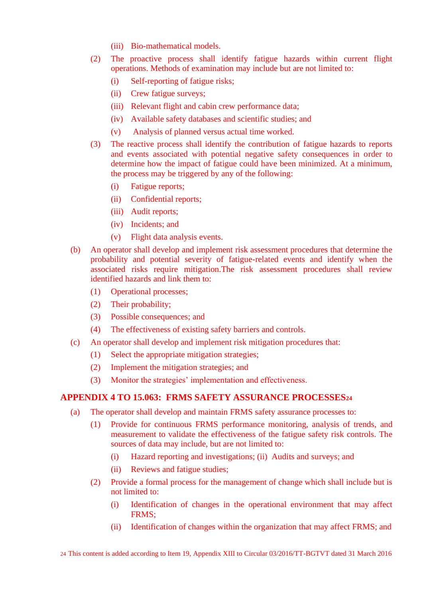- (iii) Bio-mathematical models.
- (2) The proactive process shall identify fatigue hazards within current flight operations. Methods of examination may include but are not limited to:
	- (i) Self-reporting of fatigue risks;
	- (ii) Crew fatigue surveys;
	- (iii) Relevant flight and cabin crew performance data;
	- (iv) Available safety databases and scientific studies; and
	- (v) Analysis of planned versus actual time worked.
- (3) The reactive process shall identify the contribution of fatigue hazards to reports and events associated with potential negative safety consequences in order to determine how the impact of fatigue could have been minimized. At a minimum, the process may be triggered by any of the following:
	- (i) Fatigue reports;
	- (ii) Confidential reports;
	- (iii) Audit reports;
	- (iv) Incidents; and
	- (v) Flight data analysis events.
- (b) An operator shall develop and implement risk assessment procedures that determine the probability and potential severity of fatigue-related events and identify when the associated risks require mitigation.The risk assessment procedures shall review identified hazards and link them to:
	- (1) Operational processes;
	- (2) Their probability;
	- (3) Possible consequences; and
	- (4) The effectiveness of existing safety barriers and controls.
- (c) An operator shall develop and implement risk mitigation procedures that:
	- (1) Select the appropriate mitigation strategies;
	- (2) Implement the mitigation strategies; and
	- (3) Monitor the strategies' implementation and effectiveness.

## <span id="page-19-0"></span>**APPENDIX 4 TO 15.063: FRMS SAFETY ASSURANCE PROCESSES<sup>24</sup>**

- (a) The operator shall develop and maintain FRMS safety assurance processes to:
	- (1) Provide for continuous FRMS performance monitoring, analysis of trends, and measurement to validate the effectiveness of the fatigue safety risk controls. The sources of data may include, but are not limited to:
		- (i) Hazard reporting and investigations; (ii) Audits and surveys; and
		- (ii) Reviews and fatigue studies;
	- (2) Provide a formal process for the management of change which shall include but is not limited to:
		- (i) Identification of changes in the operational environment that may affect FRMS;
		- (ii) Identification of changes within the organization that may affect FRMS; and